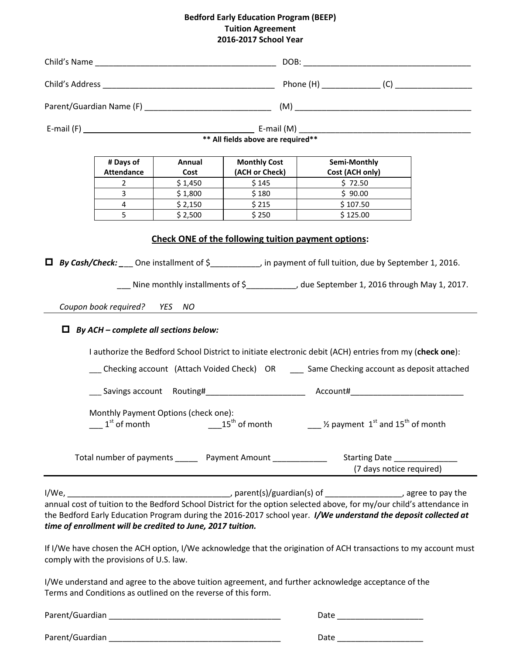## **Bedford Early Education Program (BEEP) Tuition Agreement 2016-2017 School Year**

|  | # Days of<br><b>Attendance</b>                                                                                                                                         | Annual<br>Cost | <b>Monthly Cost</b><br>(ACH or Check) | Semi-Monthly<br>Cost (ACH only)                                                                                                                                                                                                                                                                                                                                                                                                                                                                                 |                          |  |  |  |  |  |  |
|--|------------------------------------------------------------------------------------------------------------------------------------------------------------------------|----------------|---------------------------------------|-----------------------------------------------------------------------------------------------------------------------------------------------------------------------------------------------------------------------------------------------------------------------------------------------------------------------------------------------------------------------------------------------------------------------------------------------------------------------------------------------------------------|--------------------------|--|--|--|--|--|--|
|  | $\overline{2}$                                                                                                                                                         | \$1,450        | \$145                                 | \$72.50                                                                                                                                                                                                                                                                                                                                                                                                                                                                                                         |                          |  |  |  |  |  |  |
|  | 3                                                                                                                                                                      | \$1,800        | \$180                                 | \$90.00                                                                                                                                                                                                                                                                                                                                                                                                                                                                                                         |                          |  |  |  |  |  |  |
|  | 4                                                                                                                                                                      | \$2,150        | \$215                                 | \$107.50                                                                                                                                                                                                                                                                                                                                                                                                                                                                                                        |                          |  |  |  |  |  |  |
|  | 5                                                                                                                                                                      | \$2,500        | \$250                                 | \$125.00                                                                                                                                                                                                                                                                                                                                                                                                                                                                                                        |                          |  |  |  |  |  |  |
|  | Coupon book required? YES NO<br>$\Box$ By ACH – complete all sections below:                                                                                           |                |                                       | $\Box$ By Cash/Check: ___ One installment of $\zeta$ __________, in payment of full tuition, due by September 1, 2016.<br>__ Nine monthly installments of \$___________, due September 1, 2016 through May 1, 2017.<br>I authorize the Bedford School District to initiate electronic debit (ACH) entries from my (check one):<br>__ Checking account (Attach Voided Check) OR __ Same Checking account as deposit attached<br>___ Savings account Routing#________________________ Account#___________________ |                          |  |  |  |  |  |  |
|  | Monthly Payment Options (check one):<br>$1st$ of month                                                                                                                 |                |                                       | $15^{th}$ of month $\hspace{1.5cm}$ $\frac{1}{2}$ payment $1^{st}$ and $15^{th}$ of month                                                                                                                                                                                                                                                                                                                                                                                                                       | (7 days notice required) |  |  |  |  |  |  |
|  |                                                                                                                                                                        |                |                                       |                                                                                                                                                                                                                                                                                                                                                                                                                                                                                                                 |                          |  |  |  |  |  |  |
|  | time of enrollment will be credited to June, 2017 tuition.<br>comply with the provisions of U.S. law.<br>Terms and Conditions as outlined on the reverse of this form. |                |                                       | annual cost of tuition to the Bedford School District for the option selected above, for my/our child's attendance in<br>the Bedford Early Education Program during the 2016-2017 school year. I/We understand the deposit collected at<br>If I/We have chosen the ACH option, I/We acknowledge that the origination of ACH transactions to my account must<br>I/We understand and agree to the above tuition agreement, and further acknowledge acceptance of the                                              |                          |  |  |  |  |  |  |
|  |                                                                                                                                                                        |                |                                       | Date ______________________                                                                                                                                                                                                                                                                                                                                                                                                                                                                                     |                          |  |  |  |  |  |  |
|  |                                                                                                                                                                        |                |                                       | Date ________________________                                                                                                                                                                                                                                                                                                                                                                                                                                                                                   |                          |  |  |  |  |  |  |